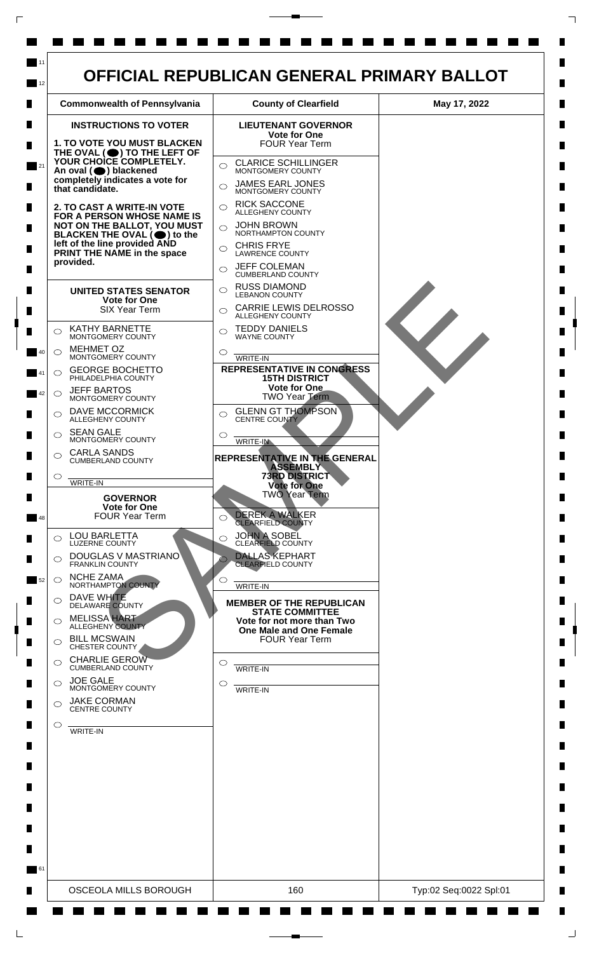

 $\Box$ 

 $\Box$